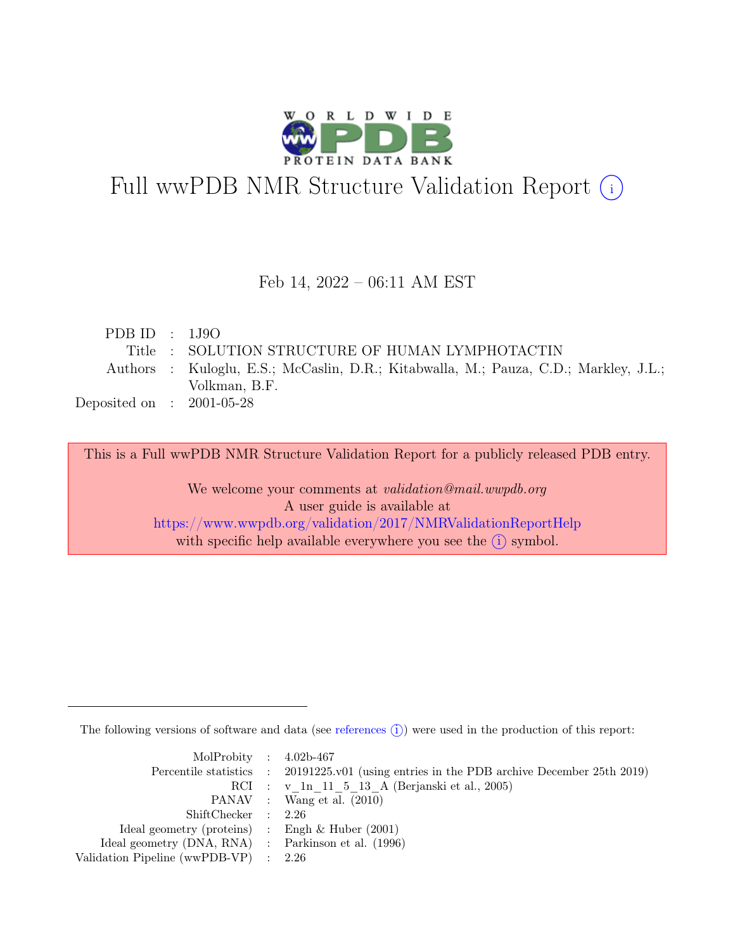

# Full wwPDB NMR Structure Validation Report (i)

### Feb 14, 2022 – 06:11 AM EST

| PDBID : 1J9O                |                                                                                      |
|-----------------------------|--------------------------------------------------------------------------------------|
|                             | Title : SOLUTION STRUCTURE OF HUMAN LYMPHOTACTIN                                     |
|                             | Authors : Kuloglu, E.S.; McCaslin, D.R.; Kitabwalla, M.; Pauza, C.D.; Markley, J.L.; |
|                             | Volkman, B.F.                                                                        |
| Deposited on : $2001-05-28$ |                                                                                      |

This is a Full wwPDB NMR Structure Validation Report for a publicly released PDB entry.

We welcome your comments at *validation@mail.wwpdb.org* A user guide is available at <https://www.wwpdb.org/validation/2017/NMRValidationReportHelp> with specific help available everywhere you see the  $(i)$  symbol.

The following versions of software and data (see [references](https://www.wwpdb.org/validation/2017/NMRValidationReportHelp#references)  $\hat{I}$ ) were used in the production of this report:

| MolProbity : $4.02b-467$                            |                                                                                            |
|-----------------------------------------------------|--------------------------------------------------------------------------------------------|
|                                                     | Percentile statistics : 20191225.v01 (using entries in the PDB archive December 25th 2019) |
|                                                     | RCI : v 1n 11 5 13 A (Berjanski et al., 2005)                                              |
|                                                     | PANAV : Wang et al. (2010)                                                                 |
| ShiftChecker : 2.26                                 |                                                                                            |
| Ideal geometry (proteins) : Engh $\&$ Huber (2001)  |                                                                                            |
| Ideal geometry (DNA, RNA) : Parkinson et al. (1996) |                                                                                            |
| Validation Pipeline (wwPDB-VP) $\therefore$ 2.26    |                                                                                            |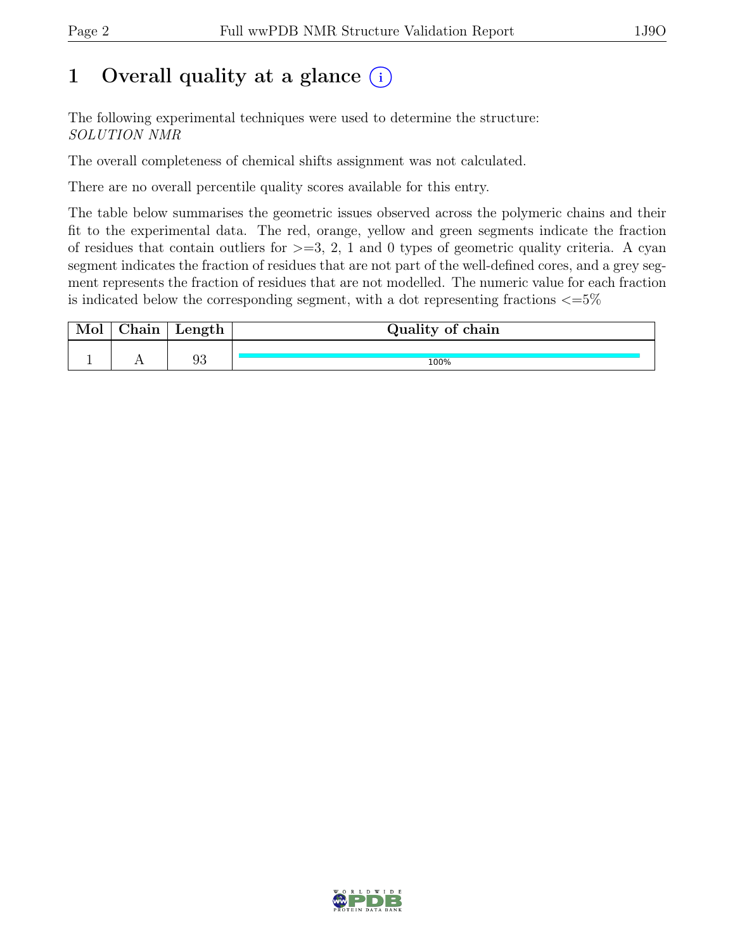## 1 Overall quality at a glance  $(i)$

The following experimental techniques were used to determine the structure: SOLUTION NMR

The overall completeness of chemical shifts assignment was not calculated.

There are no overall percentile quality scores available for this entry.

The table below summarises the geometric issues observed across the polymeric chains and their fit to the experimental data. The red, orange, yellow and green segments indicate the fraction of residues that contain outliers for  $\geq$ =3, 2, 1 and 0 types of geometric quality criteria. A cyan segment indicates the fraction of residues that are not part of the well-defined cores, and a grey segment represents the fraction of residues that are not modelled. The numeric value for each fraction is indicated below the corresponding segment, with a dot representing fractions  $\epsilon = 5\%$ 

| 01n | Length | Quality of chain |
|-----|--------|------------------|
|     |        |                  |
|     | 93     | 100%             |

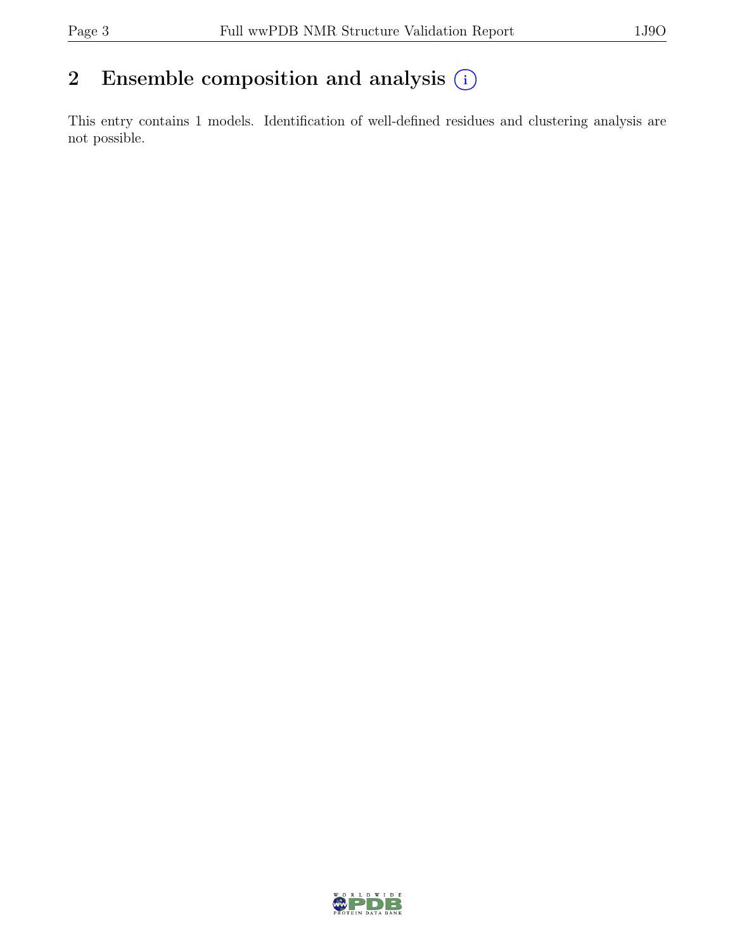## 2 Ensemble composition and analysis  $(i)$

This entry contains 1 models. Identification of well-defined residues and clustering analysis are not possible.

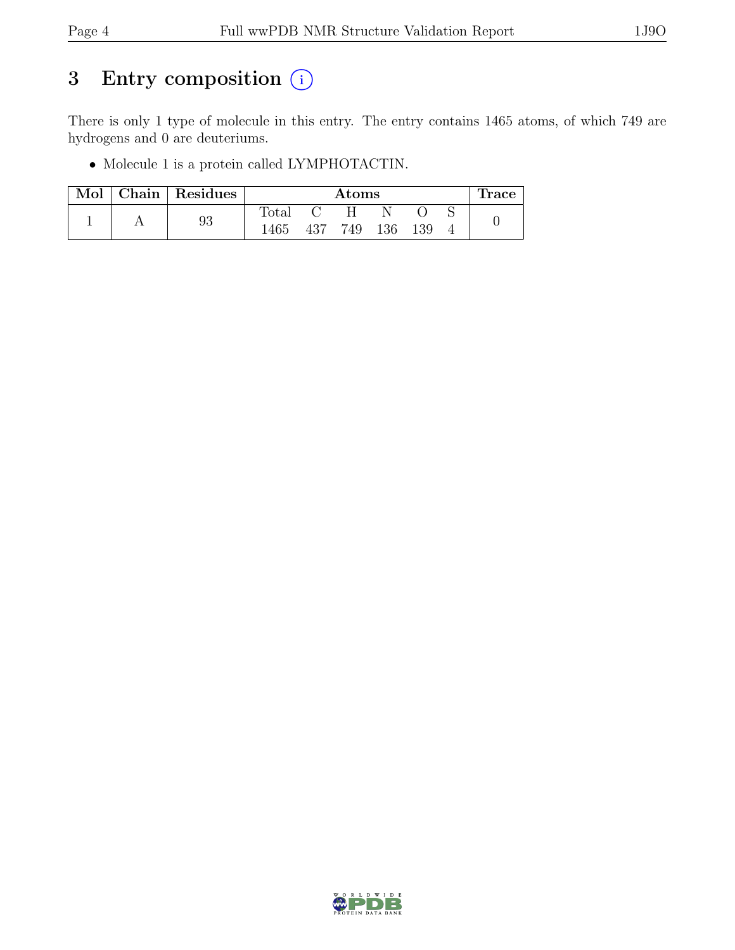## 3 Entry composition  $(i)$

There is only 1 type of molecule in this entry. The entry contains 1465 atoms, of which 749 are hydrogens and 0 are deuteriums.

• Molecule 1 is a protein called LYMPHOTACTIN.

| Mol | $\vert$ Chain $\vert$ Residues | $\rm{Atoms}$   |     |     |     |     | Trace |  |
|-----|--------------------------------|----------------|-----|-----|-----|-----|-------|--|
|     |                                | $_{\rm Total}$ |     | н   |     |     |       |  |
|     | 93                             | 1465           | 437 | 749 | 136 | 139 |       |  |

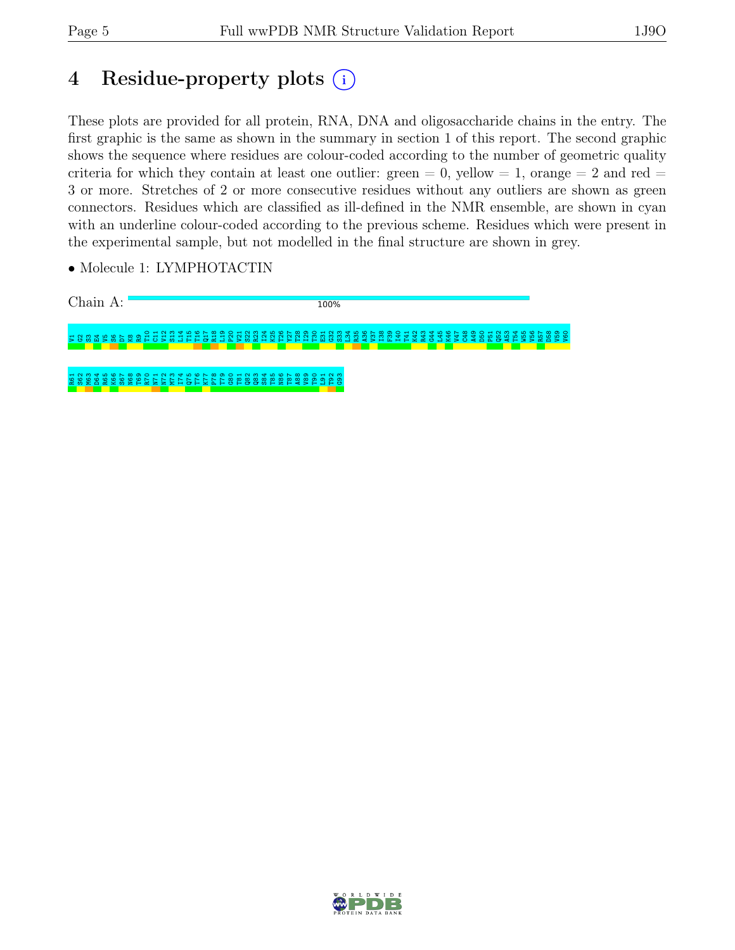## 4 Residue-property plots (i)

These plots are provided for all protein, RNA, DNA and oligosaccharide chains in the entry. The first graphic is the same as shown in the summary in section 1 of this report. The second graphic shows the sequence where residues are colour-coded according to the number of geometric quality criteria for which they contain at least one outlier: green  $= 0$ , yellow  $= 1$ , orange  $= 2$  and red  $=$ 3 or more. Stretches of 2 or more consecutive residues without any outliers are shown as green connectors. Residues which are classified as ill-defined in the NMR ensemble, are shown in cyan with an underline colour-coded according to the previous scheme. Residues which were present in the experimental sample, but not modelled in the final structure are shown in grey.

• Molecule 1: LYMPHOTACTIN



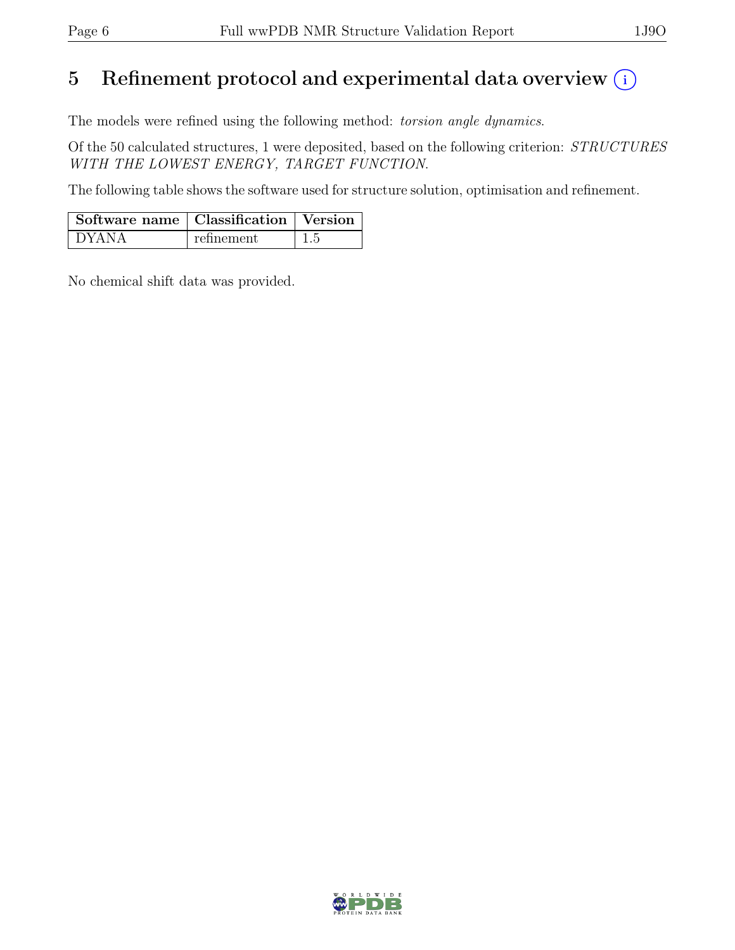## 5 Refinement protocol and experimental data overview  $(i)$

The models were refined using the following method: torsion angle dynamics.

Of the 50 calculated structures, 1 were deposited, based on the following criterion: STRUCTURES WITH THE LOWEST ENERGY, TARGET FUNCTION.

The following table shows the software used for structure solution, optimisation and refinement.

| $\mid$ Software name $\mid$ Classification $\mid$ Version |            |      |
|-----------------------------------------------------------|------------|------|
| DYANA                                                     | refinement | -1.5 |

No chemical shift data was provided.

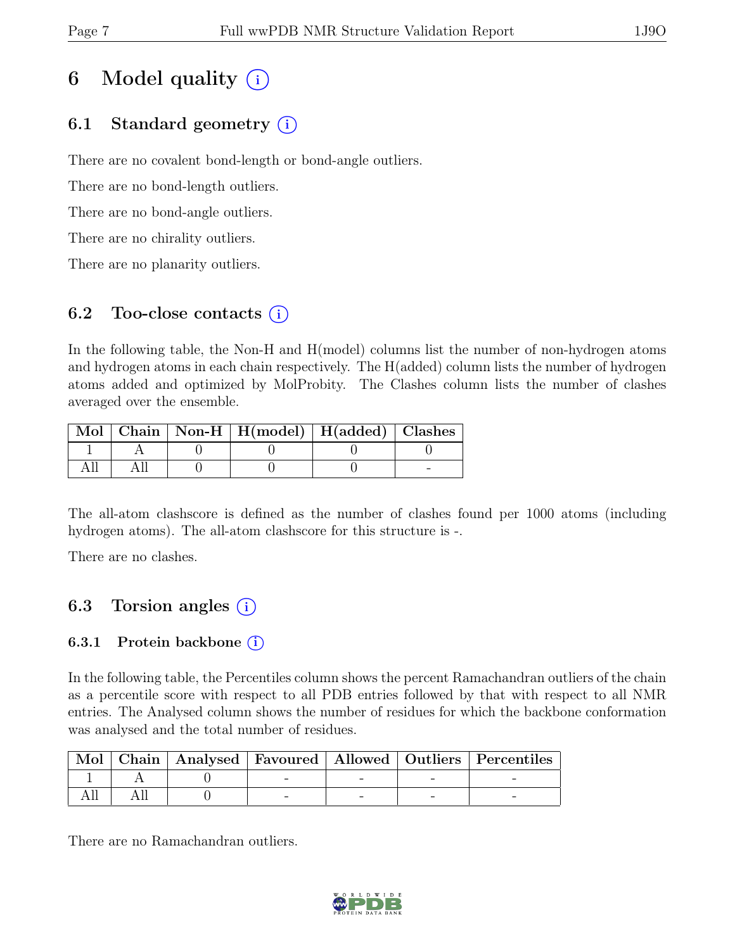## 6 Model quality  $(i)$

## 6.1 Standard geometry  $(i)$

There are no covalent bond-length or bond-angle outliers.

There are no bond-length outliers.

There are no bond-angle outliers.

There are no chirality outliers.

There are no planarity outliers.

### 6.2 Too-close contacts  $(i)$

In the following table, the Non-H and H(model) columns list the number of non-hydrogen atoms and hydrogen atoms in each chain respectively. The H(added) column lists the number of hydrogen atoms added and optimized by MolProbity. The Clashes column lists the number of clashes averaged over the ensemble.

|  | Mol   Chain   Non-H   H(model)   H(added)   Clashes |  |
|--|-----------------------------------------------------|--|
|  |                                                     |  |
|  |                                                     |  |

The all-atom clashscore is defined as the number of clashes found per 1000 atoms (including hydrogen atoms). The all-atom clashscore for this structure is -.

There are no clashes.

## 6.3 Torsion angles  $(i)$

### 6.3.1 Protein backbone  $(i)$

In the following table, the Percentiles column shows the percent Ramachandran outliers of the chain as a percentile score with respect to all PDB entries followed by that with respect to all NMR entries. The Analysed column shows the number of residues for which the backbone conformation was analysed and the total number of residues.

| Mol |  |  | Chain   Analysed   Favoured   Allowed   Outliers   Percentiles |
|-----|--|--|----------------------------------------------------------------|
|     |  |  |                                                                |
|     |  |  |                                                                |

There are no Ramachandran outliers.

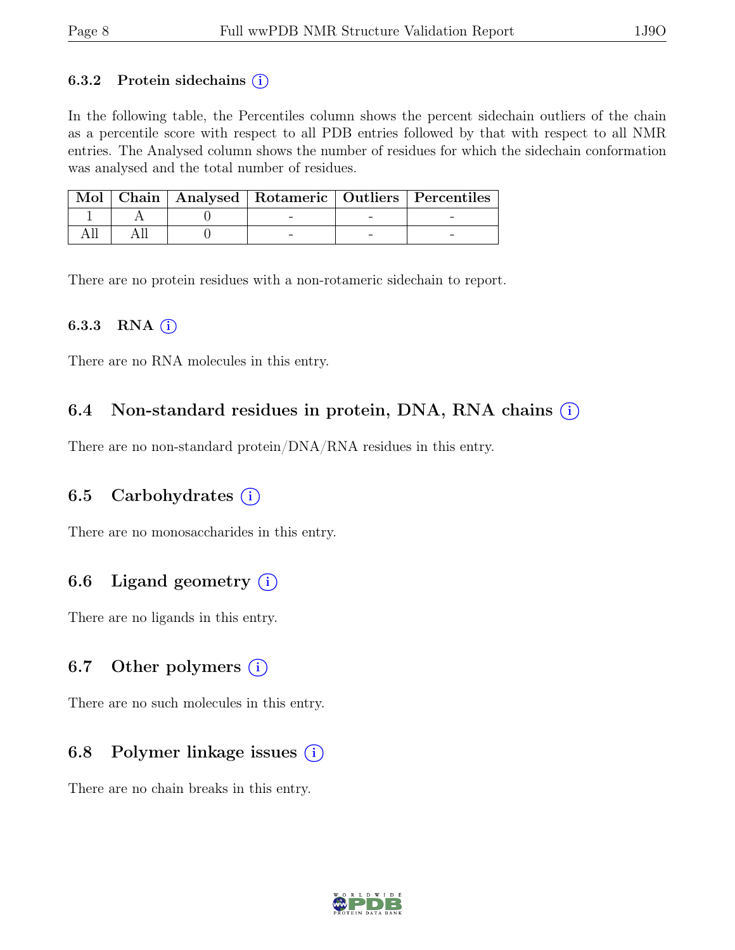#### 6.3.2 Protein sidechains  $(i)$

In the following table, the Percentiles column shows the percent sidechain outliers of the chain as a percentile score with respect to all PDB entries followed by that with respect to all NMR entries. The Analysed column shows the number of residues for which the sidechain conformation was analysed and the total number of residues.

|  |  | Mol   Chain   Analysed   Rotameric   Outliers   Percentiles |
|--|--|-------------------------------------------------------------|
|  |  |                                                             |
|  |  |                                                             |

There are no protein residues with a non-rotameric sidechain to report.

#### 6.3.3 RNA  $(i)$

There are no RNA molecules in this entry.

### 6.4 Non-standard residues in protein, DNA, RNA chains  $(i)$

There are no non-standard protein/DNA/RNA residues in this entry.

### 6.5 Carbohydrates  $(i)$

There are no monosaccharides in this entry.

### 6.6 Ligand geometry  $(i)$

There are no ligands in this entry.

#### 6.7 Other polymers  $(i)$

There are no such molecules in this entry.

### 6.8 Polymer linkage issues  $(i)$

There are no chain breaks in this entry.